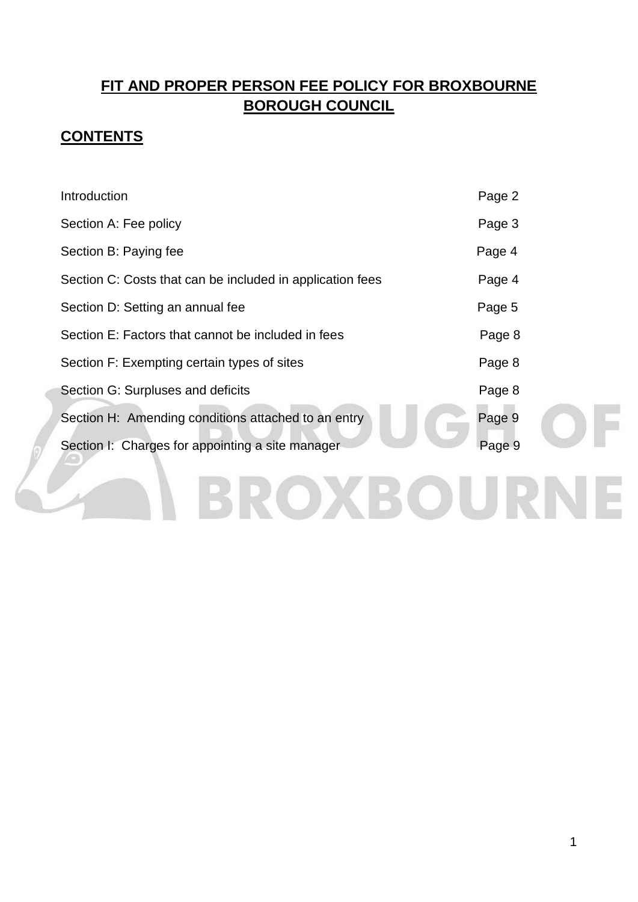# **FIT AND PROPER PERSON FEE POLICY FOR BROXBOURNE BOROUGH COUNCIL**

# **CONTENTS**

| Introduction                                              | Page 2 |
|-----------------------------------------------------------|--------|
| Section A: Fee policy                                     | Page 3 |
| Section B: Paying fee                                     | Page 4 |
| Section C: Costs that can be included in application fees | Page 4 |
| Section D: Setting an annual fee                          | Page 5 |
| Section E: Factors that cannot be included in fees        | Page 8 |
| Section F: Exempting certain types of sites               | Page 8 |
| Section G: Surpluses and deficits                         | Page 8 |
| Section H: Amending conditions attached to an entry       | Page 9 |
| Section I: Charges for appointing a site manager          | Page 9 |
|                                                           |        |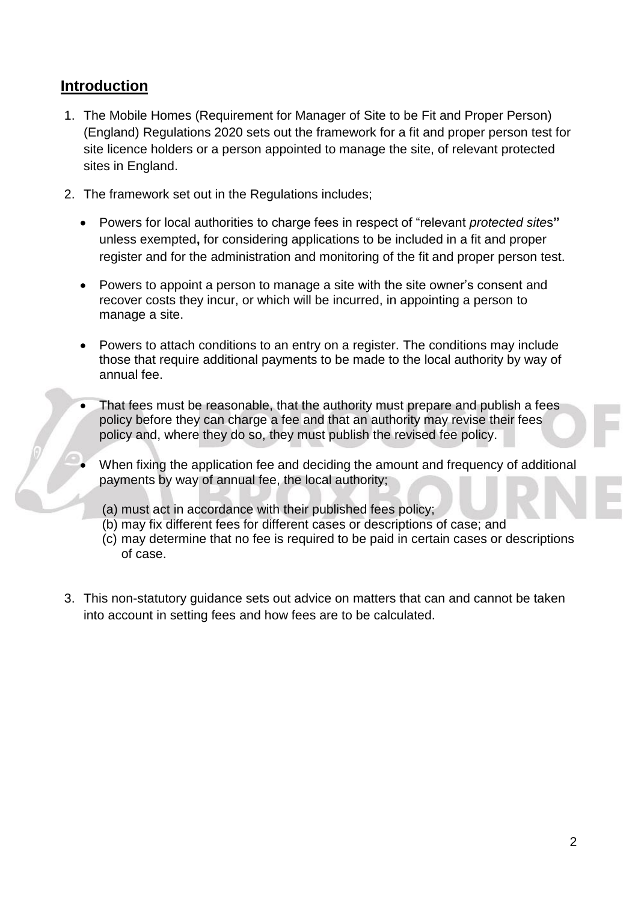### **Introduction**

- 1. The Mobile Homes (Requirement for Manager of Site to be Fit and Proper Person) (England) Regulations 2020 sets out the framework for a fit and proper person test for site licence holders or a person appointed to manage the site, of relevant protected sites in England.
- 2. The framework set out in the Regulations includes;
	- Powers for local authorities to charge fees in respect of "relevant *protected site*s**"** unless exempted**,** for considering applications to be included in a fit and proper register and for the administration and monitoring of the fit and proper person test.
	- Powers to appoint a person to manage a site with the site owner's consent and recover costs they incur, or which will be incurred, in appointing a person to manage a site.
	- Powers to attach conditions to an entry on a register. The conditions may include those that require additional payments to be made to the local authority by way of annual fee.
	- That fees must be reasonable, that the authority must prepare and publish a fees policy before they can charge a fee and that an authority may revise their fees policy and, where they do so, they must publish the revised fee policy.
	- When fixing the application fee and deciding the amount and frequency of additional payments by way of annual fee, the local authority;
		- (a) must act in accordance with their published fees policy;
		- (b) may fix different fees for different cases or descriptions of case; and
		- (c) may determine that no fee is required to be paid in certain cases or descriptions of case.
- 3. This non-statutory guidance sets out advice on matters that can and cannot be taken into account in setting fees and how fees are to be calculated.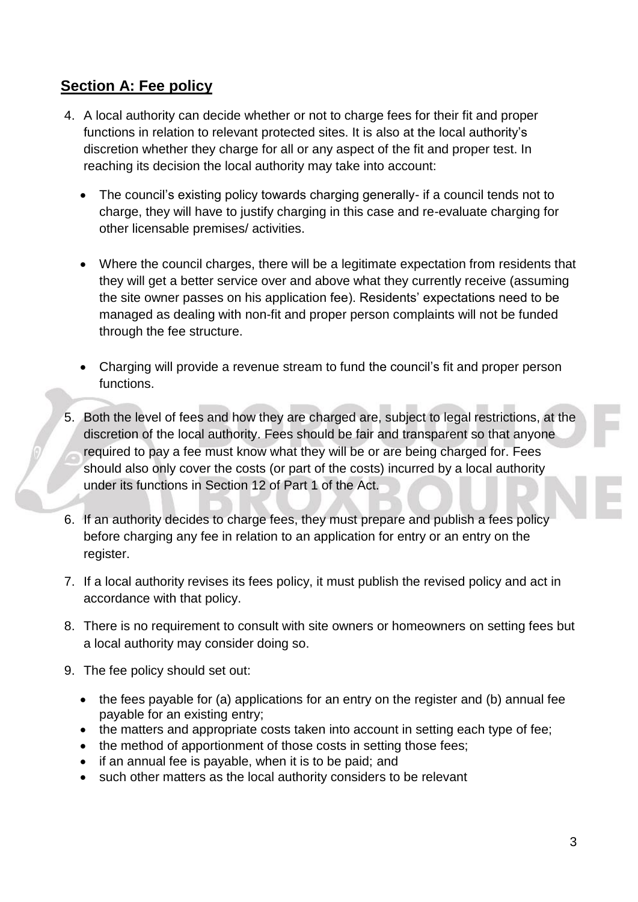# **Section A: Fee policy**

- 4. A local authority can decide whether or not to charge fees for their fit and proper functions in relation to relevant protected sites. It is also at the local authority's discretion whether they charge for all or any aspect of the fit and proper test. In reaching its decision the local authority may take into account:
	- The council's existing policy towards charging generally- if a council tends not to charge, they will have to justify charging in this case and re-evaluate charging for other licensable premises/ activities.
	- Where the council charges, there will be a legitimate expectation from residents that they will get a better service over and above what they currently receive (assuming the site owner passes on his application fee). Residents' expectations need to be managed as dealing with non-fit and proper person complaints will not be funded through the fee structure.
	- Charging will provide a revenue stream to fund the council's fit and proper person functions.
- 5. Both the level of fees and how they are charged are, subject to legal restrictions, at the discretion of the local authority. Fees should be fair and transparent so that anyone required to pay a fee must know what they will be or are being charged for. Fees should also only cover the costs (or part of the costs) incurred by a local authority under its functions in Section 12 of Part 1 of the Act.
- 6. If an authority decides to charge fees, they must prepare and publish a fees policy before charging any fee in relation to an application for entry or an entry on the register.
- 7. If a local authority revises its fees policy, it must publish the revised policy and act in accordance with that policy.
- 8. There is no requirement to consult with site owners or homeowners on setting fees but a local authority may consider doing so.
- 9. The fee policy should set out:
	- the fees payable for (a) applications for an entry on the register and (b) annual fee payable for an existing entry;
	- the matters and appropriate costs taken into account in setting each type of fee;
	- the method of apportionment of those costs in setting those fees;
	- if an annual fee is payable, when it is to be paid; and
	- such other matters as the local authority considers to be relevant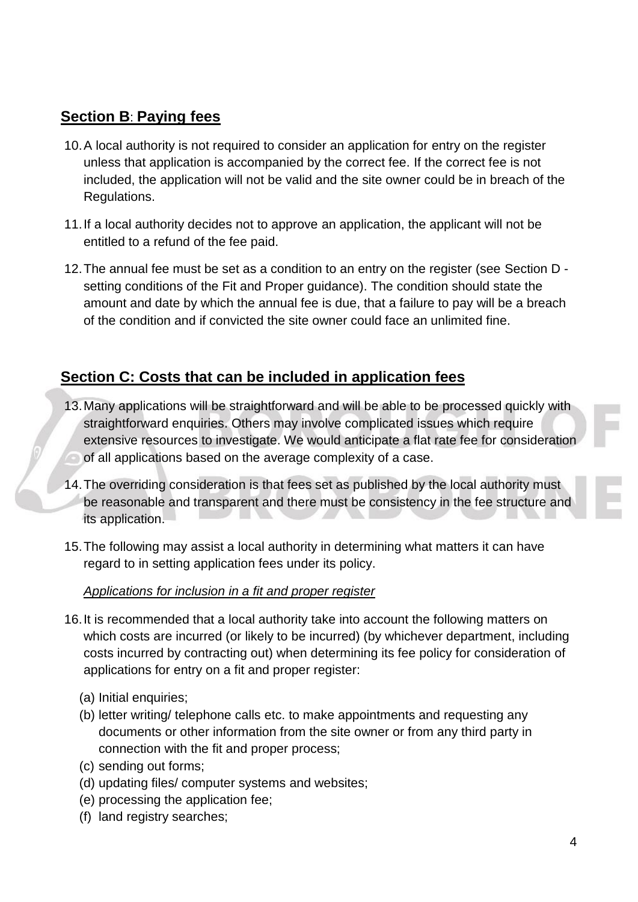# **Section B**: **Paying fees**

- 10.A local authority is not required to consider an application for entry on the register unless that application is accompanied by the correct fee. If the correct fee is not included, the application will not be valid and the site owner could be in breach of the Regulations.
- 11.If a local authority decides not to approve an application, the applicant will not be entitled to a refund of the fee paid.
- 12.The annual fee must be set as a condition to an entry on the register (see Section D setting conditions of the Fit and Proper guidance). The condition should state the amount and date by which the annual fee is due, that a failure to pay will be a breach of the condition and if convicted the site owner could face an unlimited fine.

## **Section C: Costs that can be included in application fees**

- 13.Many applications will be straightforward and will be able to be processed quickly with straightforward enquiries. Others may involve complicated issues which require extensive resources to investigate. We would anticipate a flat rate fee for consideration of all applications based on the average complexity of a case.
- 14.The overriding consideration is that fees set as published by the local authority must be reasonable and transparent and there must be consistency in the fee structure and its application.
- 15.The following may assist a local authority in determining what matters it can have regard to in setting application fees under its policy.

#### *Applications for inclusion in a fit and proper register*

- 16.It is recommended that a local authority take into account the following matters on which costs are incurred (or likely to be incurred) (by whichever department, including costs incurred by contracting out) when determining its fee policy for consideration of applications for entry on a fit and proper register:
	- (a) Initial enquiries;
	- (b) letter writing/ telephone calls etc. to make appointments and requesting any documents or other information from the site owner or from any third party in connection with the fit and proper process;
	- (c) sending out forms;
	- (d) updating files/ computer systems and websites;
	- (e) processing the application fee;
	- (f) land registry searches;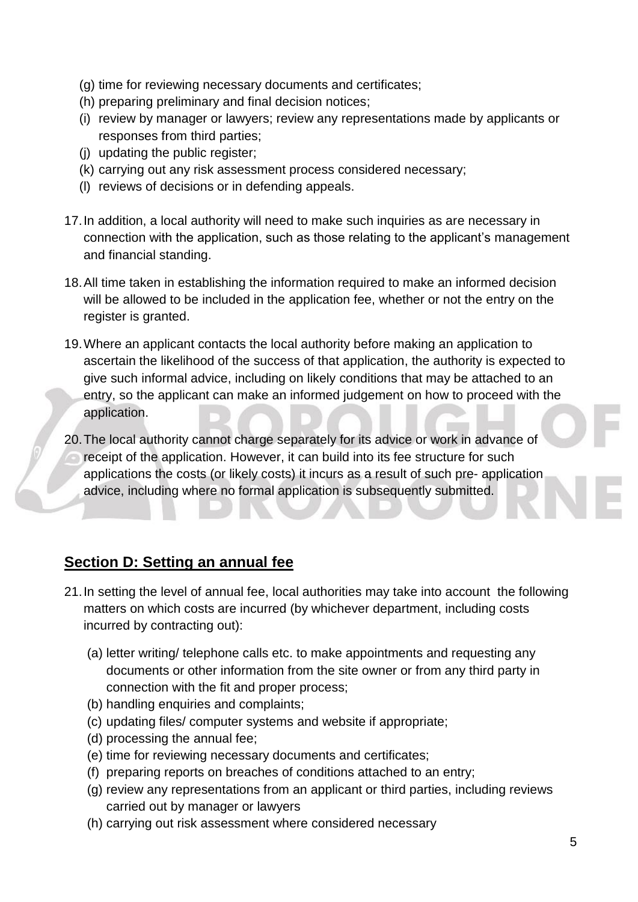- (g) time for reviewing necessary documents and certificates;
- (h) preparing preliminary and final decision notices;
- (i) review by manager or lawyers; review any representations made by applicants or responses from third parties;
- (j) updating the public register;
- (k) carrying out any risk assessment process considered necessary;
- (l) reviews of decisions or in defending appeals.
- 17.In addition, a local authority will need to make such inquiries as are necessary in connection with the application, such as those relating to the applicant's management and financial standing.
- 18.All time taken in establishing the information required to make an informed decision will be allowed to be included in the application fee, whether or not the entry on the register is granted.
- 19.Where an applicant contacts the local authority before making an application to ascertain the likelihood of the success of that application, the authority is expected to give such informal advice, including on likely conditions that may be attached to an entry, so the applicant can make an informed judgement on how to proceed with the application.
- 20.The local authority cannot charge separately for its advice or work in advance of receipt of the application. However, it can build into its fee structure for such applications the costs (or likely costs) it incurs as a result of such pre- application advice, including where no formal application is subsequently submitted.

# **Section D: Setting an annual fee**

- 21.In setting the level of annual fee, local authorities may take into account the following matters on which costs are incurred (by whichever department, including costs incurred by contracting out):
	- (a) letter writing/ telephone calls etc. to make appointments and requesting any documents or other information from the site owner or from any third party in connection with the fit and proper process;
	- (b) handling enquiries and complaints;
	- (c) updating files/ computer systems and website if appropriate;
	- (d) processing the annual fee;
	- (e) time for reviewing necessary documents and certificates;
	- (f) preparing reports on breaches of conditions attached to an entry;
	- (g) review any representations from an applicant or third parties, including reviews carried out by manager or lawyers
	- (h) carrying out risk assessment where considered necessary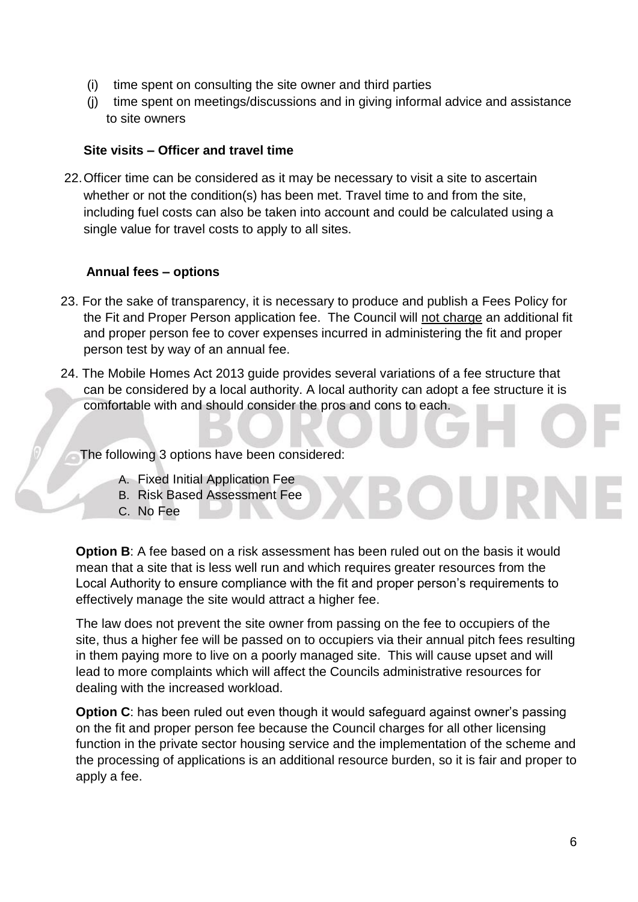- (i) time spent on consulting the site owner and third parties
- (j) time spent on meetings/discussions and in giving informal advice and assistance to site owners

#### **Site visits – Officer and travel time**

22.Officer time can be considered as it may be necessary to visit a site to ascertain whether or not the condition(s) has been met. Travel time to and from the site, including fuel costs can also be taken into account and could be calculated using a single value for travel costs to apply to all sites.

#### **Annual fees – options**

- 23. For the sake of transparency, it is necessary to produce and publish a Fees Policy for the Fit and Proper Person application fee. The Council will not charge an additional fit and proper person fee to cover expenses incurred in administering the fit and proper person test by way of an annual fee.
- 24. The Mobile Homes Act 2013 guide provides several variations of a fee structure that can be considered by a local authority. A local authority can adopt a fee structure it is comfortable with and should consider the pros and cons to each.

The following 3 options have been considered:

- A. Fixed Initial Application Fee
- B. Risk Based Assessment Fee
- C. No Fee

**Option B:** A fee based on a risk assessment has been ruled out on the basis it would mean that a site that is less well run and which requires greater resources from the Local Authority to ensure compliance with the fit and proper person's requirements to effectively manage the site would attract a higher fee.

The law does not prevent the site owner from passing on the fee to occupiers of the site, thus a higher fee will be passed on to occupiers via their annual pitch fees resulting in them paying more to live on a poorly managed site. This will cause upset and will lead to more complaints which will affect the Councils administrative resources for dealing with the increased workload.

**Option C**: has been ruled out even though it would safeguard against owner's passing on the fit and proper person fee because the Council charges for all other licensing function in the private sector housing service and the implementation of the scheme and the processing of applications is an additional resource burden, so it is fair and proper to apply a fee.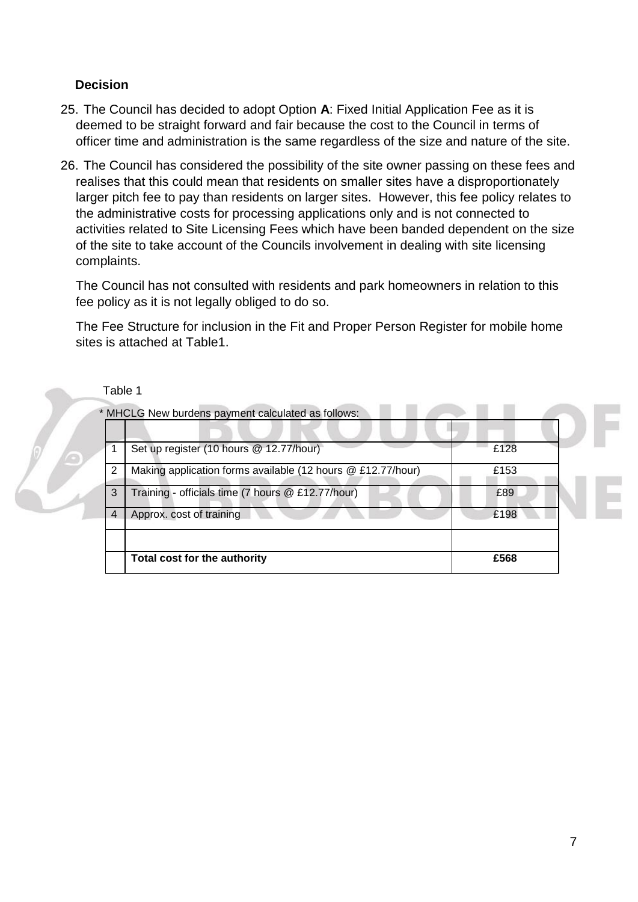#### **Decision**

- 25. The Council has decided to adopt Option **A**: Fixed Initial Application Fee as it is deemed to be straight forward and fair because the cost to the Council in terms of officer time and administration is the same regardless of the size and nature of the site.
- 26. The Council has considered the possibility of the site owner passing on these fees and realises that this could mean that residents on smaller sites have a disproportionately larger pitch fee to pay than residents on larger sites. However, this fee policy relates to the administrative costs for processing applications only and is not connected to activities related to Site Licensing Fees which have been banded dependent on the size of the site to take account of the Councils involvement in dealing with site licensing complaints.

The Council has not consulted with residents and park homeowners in relation to this fee policy as it is not legally obliged to do so.

The Fee Structure for inclusion in the Fit and Proper Person Register for mobile home sites is attached at Table1.



| Set up register (10 hours @ 12.77/hour)                     | £128 |
|-------------------------------------------------------------|------|
| Making application forms available (12 hours @ £12.77/hour) | £153 |
| Training - officials time (7 hours @ £12.77/hour)<br>3      | £89  |
| Approx. cost of training<br>4                               | £198 |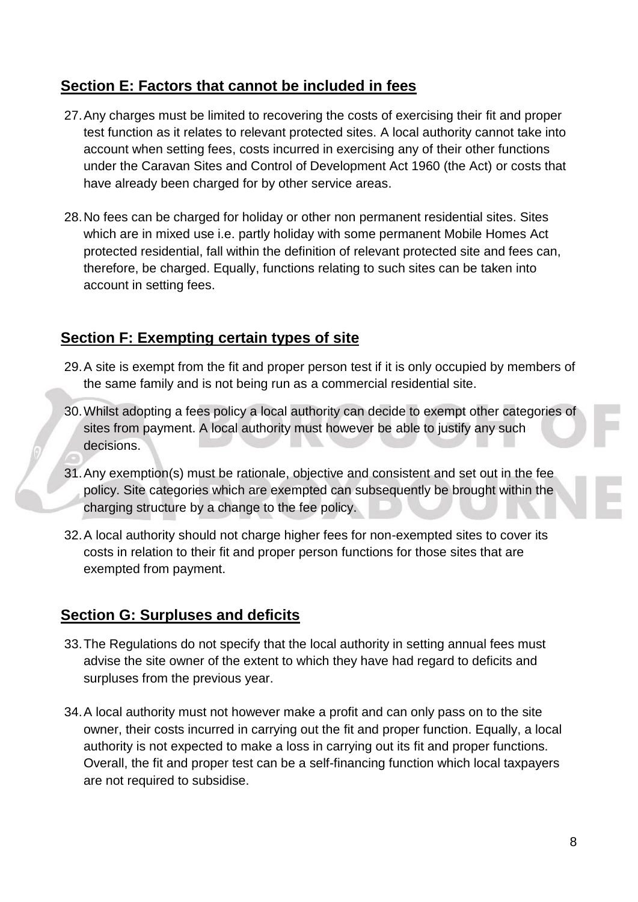## **Section E: Factors that cannot be included in fees**

- 27.Any charges must be limited to recovering the costs of exercising their fit and proper test function as it relates to relevant protected sites. A local authority cannot take into account when setting fees, costs incurred in exercising any of their other functions under the Caravan Sites and Control of Development Act 1960 (the Act) or costs that have already been charged for by other service areas.
- 28.No fees can be charged for holiday or other non permanent residential sites. Sites which are in mixed use i.e. partly holiday with some permanent Mobile Homes Act protected residential, fall within the definition of relevant protected site and fees can, therefore, be charged. Equally, functions relating to such sites can be taken into account in setting fees.

# **Section F: Exempting certain types of site**

- 29.A site is exempt from the fit and proper person test if it is only occupied by members of the same family and is not being run as a commercial residential site.
- 30.Whilst adopting a fees policy a local authority can decide to exempt other categories of sites from payment. A local authority must however be able to justify any such decisions.
- 31.Any exemption(s) must be rationale, objective and consistent and set out in the fee policy. Site categories which are exempted can subsequently be brought within the charging structure by a change to the fee policy.
- 32.A local authority should not charge higher fees for non-exempted sites to cover its costs in relation to their fit and proper person functions for those sites that are exempted from payment.

# **Section G: Surpluses and deficits**

- 33.The Regulations do not specify that the local authority in setting annual fees must advise the site owner of the extent to which they have had regard to deficits and surpluses from the previous year.
- 34.A local authority must not however make a profit and can only pass on to the site owner, their costs incurred in carrying out the fit and proper function. Equally, a local authority is not expected to make a loss in carrying out its fit and proper functions. Overall, the fit and proper test can be a self-financing function which local taxpayers are not required to subsidise.